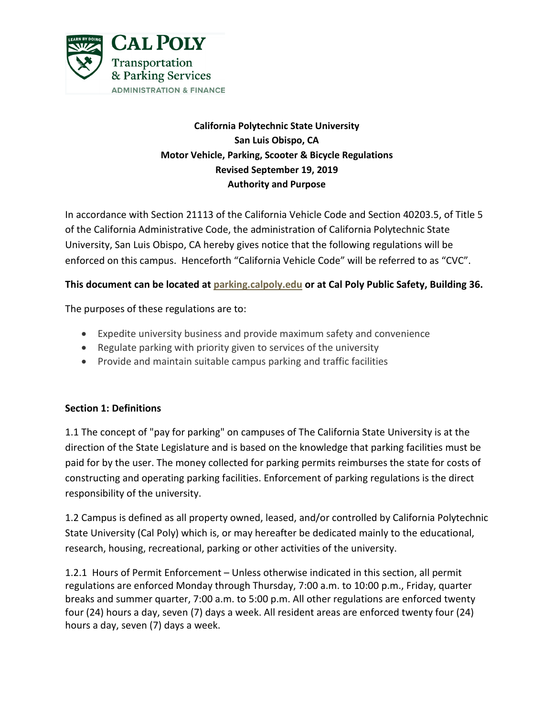

# **California Polytechnic State University San Luis Obispo, CA Motor Vehicle, Parking, Scooter & Bicycle Regulations Revised September 19, 2019 Authority and Purpose**

In accordance with Section 21113 of the California Vehicle Code and Section 40203.5, of Title 5 of the California Administrative Code, the administration of California Polytechnic State University, San Luis Obispo, CA hereby gives notice that the following regulations will be enforced on this campus. Henceforth "California Vehicle Code" will be referred to as "CVC".

## **This document can be located at [parking.calpoly.edu](http://police.calpoly.edu/) or at Cal Poly Public Safety, Building 36.**

The purposes of these regulations are to:

- Expedite university business and provide maximum safety and convenience
- Regulate parking with priority given to services of the university
- Provide and maintain suitable campus parking and traffic facilities

#### **Section 1: Definitions**

1.1 The concept of "pay for parking" on campuses of The California State University is at the direction of the State Legislature and is based on the knowledge that parking facilities must be paid for by the user. The money collected for parking permits reimburses the state for costs of constructing and operating parking facilities. Enforcement of parking regulations is the direct responsibility of the university.

1.2 Campus is defined as all property owned, leased, and/or controlled by California Polytechnic State University (Cal Poly) which is, or may hereafter be dedicated mainly to the educational, research, housing, recreational, parking or other activities of the university.

1.2.1 Hours of Permit Enforcement – Unless otherwise indicated in this section, all permit regulations are enforced Monday through Thursday, 7:00 a.m. to 10:00 p.m., Friday, quarter breaks and summer quarter, 7:00 a.m. to 5:00 p.m. All other regulations are enforced twenty four (24) hours a day, seven (7) days a week. All resident areas are enforced twenty four (24) hours a day, seven (7) days a week.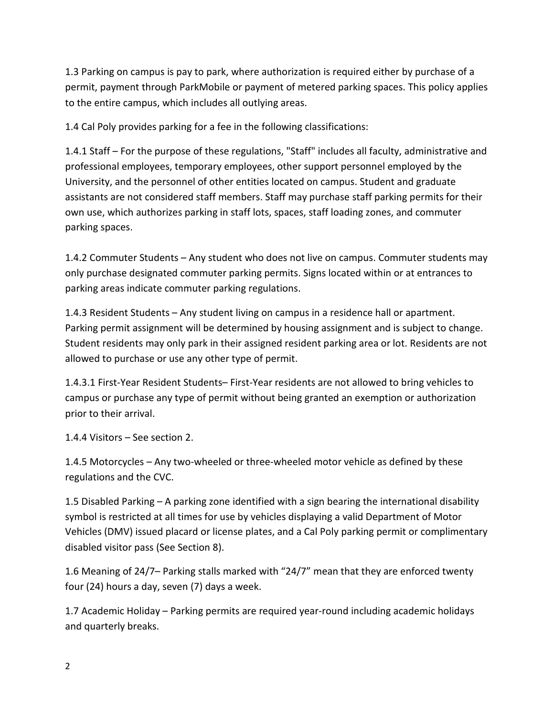1.3 Parking on campus is pay to park, where authorization is required either by purchase of a permit, payment through ParkMobile or payment of metered parking spaces. This policy applies to the entire campus, which includes all outlying areas.

1.4 Cal Poly provides parking for a fee in the following classifications:

1.4.1 Staff – For the purpose of these regulations, "Staff" includes all faculty, administrative and professional employees, temporary employees, other support personnel employed by the University, and the personnel of other entities located on campus. Student and graduate assistants are not considered staff members. Staff may purchase staff parking permits for their own use, which authorizes parking in staff lots, spaces, staff loading zones, and commuter parking spaces.

1.4.2 Commuter Students – Any student who does not live on campus. Commuter students may only purchase designated commuter parking permits. Signs located within or at entrances to parking areas indicate commuter parking regulations.

1.4.3 Resident Students – Any student living on campus in a residence hall or apartment. Parking permit assignment will be determined by housing assignment and is subject to change. Student residents may only park in their assigned resident parking area or lot. Residents are not allowed to purchase or use any other type of permit.

1.4.3.1 First-Year Resident Students– First-Year residents are not allowed to bring vehicles to campus or purchase any type of permit without being granted an exemption or authorization prior to their arrival.

1.4.4 Visitors – See section 2.

1.4.5 Motorcycles – Any two-wheeled or three-wheeled motor vehicle as defined by these regulations and the CVC.

1.5 Disabled Parking – A parking zone identified with a sign bearing the international disability symbol is restricted at all times for use by vehicles displaying a valid Department of Motor Vehicles (DMV) issued placard or license plates, and a Cal Poly parking permit or complimentary disabled visitor pass (See Section 8).

1.6 Meaning of 24/7– Parking stalls marked with "24/7" mean that they are enforced twenty four (24) hours a day, seven (7) days a week.

1.7 Academic Holiday – Parking permits are required year-round including academic holidays and quarterly breaks.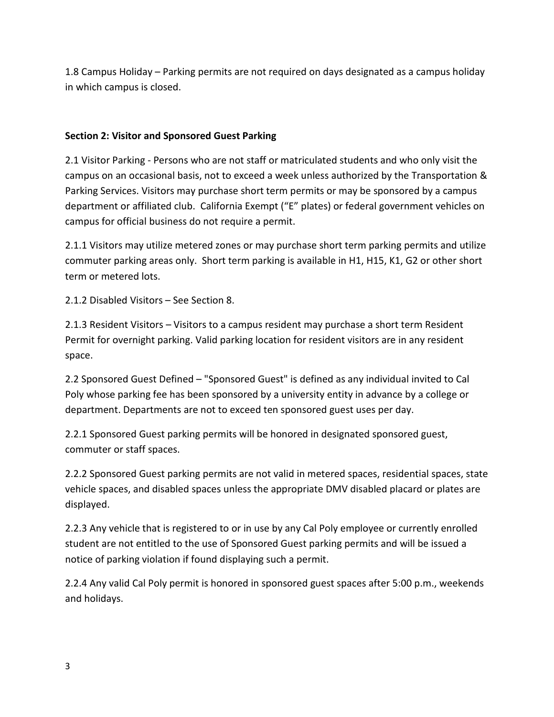1.8 Campus Holiday – Parking permits are not required on days designated as a campus holiday in which campus is closed.

#### **Section 2: Visitor and Sponsored Guest Parking**

2.1 Visitor Parking - Persons who are not staff or matriculated students and who only visit the campus on an occasional basis, not to exceed a week unless authorized by the Transportation & Parking Services. Visitors may purchase short term permits or may be sponsored by a campus department or affiliated club. California Exempt ("E" plates) or federal government vehicles on campus for official business do not require a permit.

2.1.1 Visitors may utilize metered zones or may purchase short term parking permits and utilize commuter parking areas only. Short term parking is available in H1, H15, K1, G2 or other short term or metered lots.

2.1.2 Disabled Visitors – See Section 8.

2.1.3 Resident Visitors – Visitors to a campus resident may purchase a short term Resident Permit for overnight parking. Valid parking location for resident visitors are in any resident space.

2.2 Sponsored Guest Defined – "Sponsored Guest" is defined as any individual invited to Cal Poly whose parking fee has been sponsored by a university entity in advance by a college or department. Departments are not to exceed ten sponsored guest uses per day.

2.2.1 Sponsored Guest parking permits will be honored in designated sponsored guest, commuter or staff spaces.

2.2.2 Sponsored Guest parking permits are not valid in metered spaces, residential spaces, state vehicle spaces, and disabled spaces unless the appropriate DMV disabled placard or plates are displayed.

2.2.3 Any vehicle that is registered to or in use by any Cal Poly employee or currently enrolled student are not entitled to the use of Sponsored Guest parking permits and will be issued a notice of parking violation if found displaying such a permit.

2.2.4 Any valid Cal Poly permit is honored in sponsored guest spaces after 5:00 p.m., weekends and holidays.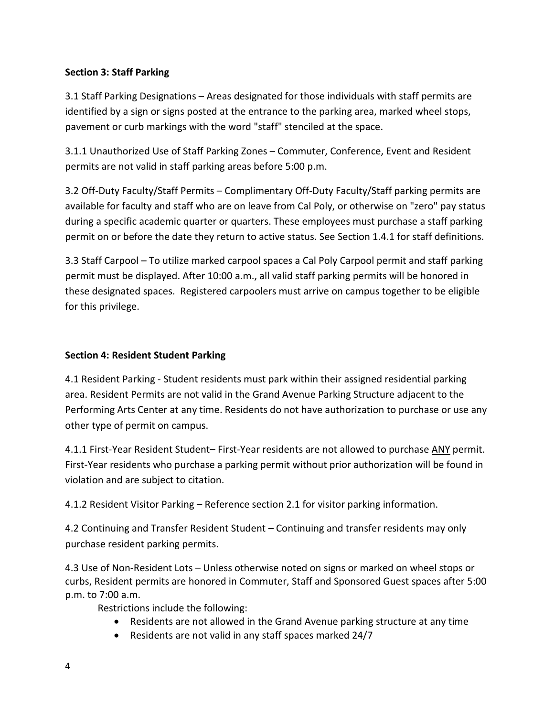### **Section 3: Staff Parking**

3.1 Staff Parking Designations – Areas designated for those individuals with staff permits are identified by a sign or signs posted at the entrance to the parking area, marked wheel stops, pavement or curb markings with the word "staff" stenciled at the space.

3.1.1 Unauthorized Use of Staff Parking Zones – Commuter, Conference, Event and Resident permits are not valid in staff parking areas before 5:00 p.m.

3.2 Off-Duty Faculty/Staff Permits – Complimentary Off-Duty Faculty/Staff parking permits are available for faculty and staff who are on leave from Cal Poly, or otherwise on "zero" pay status during a specific academic quarter or quarters. These employees must purchase a staff parking permit on or before the date they return to active status. See Section 1.4.1 for staff definitions.

3.3 Staff Carpool – To utilize marked carpool spaces a Cal Poly Carpool permit and staff parking permit must be displayed. After 10:00 a.m., all valid staff parking permits will be honored in these designated spaces. Registered carpoolers must arrive on campus together to be eligible for this privilege.

### **Section 4: Resident Student Parking**

4.1 Resident Parking - Student residents must park within their assigned residential parking area. Resident Permits are not valid in the Grand Avenue Parking Structure adjacent to the Performing Arts Center at any time. Residents do not have authorization to purchase or use any other type of permit on campus.

4.1.1 First-Year Resident Student– First-Year residents are not allowed to purchase ANY permit. First-Year residents who purchase a parking permit without prior authorization will be found in violation and are subject to citation.

4.1.2 Resident Visitor Parking – Reference section 2.1 for visitor parking information.

4.2 Continuing and Transfer Resident Student – Continuing and transfer residents may only purchase resident parking permits.

4.3 Use of Non-Resident Lots – Unless otherwise noted on signs or marked on wheel stops or curbs, Resident permits are honored in Commuter, Staff and Sponsored Guest spaces after 5:00 p.m. to 7:00 a.m.

Restrictions include the following:

- Residents are not allowed in the Grand Avenue parking structure at any time
- Residents are not valid in any staff spaces marked 24/7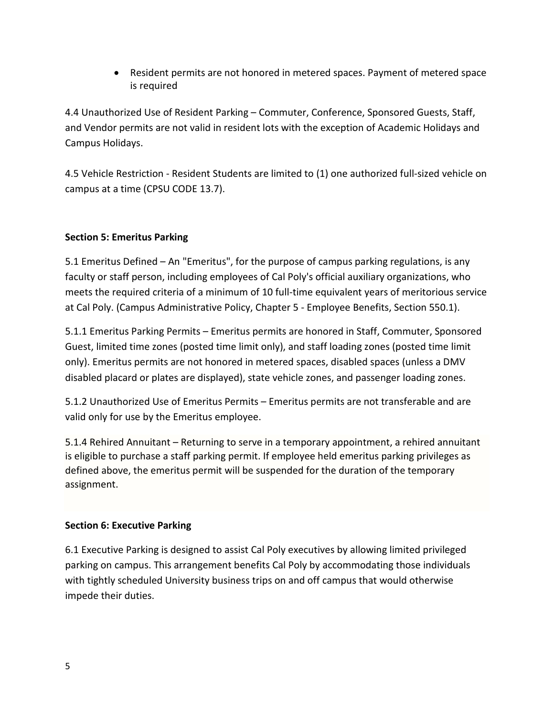• Resident permits are not honored in metered spaces. Payment of metered space is required

4.4 Unauthorized Use of Resident Parking – Commuter, Conference, Sponsored Guests, Staff, and Vendor permits are not valid in resident lots with the exception of Academic Holidays and Campus Holidays.

4.5 Vehicle Restriction - Resident Students are limited to (1) one authorized full-sized vehicle on campus at a time (CPSU CODE 13.7).

## **Section 5: Emeritus Parking**

5.1 Emeritus Defined – An "Emeritus", for the purpose of campus parking regulations, is any faculty or staff person, including employees of Cal Poly's official auxiliary organizations, who meets the required criteria of a minimum of 10 full-time equivalent years of meritorious service at Cal Poly. (Campus Administrative Policy, Chapter 5 - Employee Benefits, Section 550.1).

5.1.1 Emeritus Parking Permits – Emeritus permits are honored in Staff, Commuter, Sponsored Guest, limited time zones (posted time limit only), and staff loading zones (posted time limit only). Emeritus permits are not honored in metered spaces, disabled spaces (unless a DMV disabled placard or plates are displayed), state vehicle zones, and passenger loading zones.

5.1.2 Unauthorized Use of Emeritus Permits – Emeritus permits are not transferable and are valid only for use by the Emeritus employee.

5.1.4 Rehired Annuitant – Returning to serve in a temporary appointment, a rehired annuitant is eligible to purchase a staff parking permit. If employee held emeritus parking privileges as defined above, the emeritus permit will be suspended for the duration of the temporary assignment.

#### **Section 6: Executive Parking**

6.1 Executive Parking is designed to assist Cal Poly executives by allowing limited privileged parking on campus. This arrangement benefits Cal Poly by accommodating those individuals with tightly scheduled University business trips on and off campus that would otherwise impede their duties.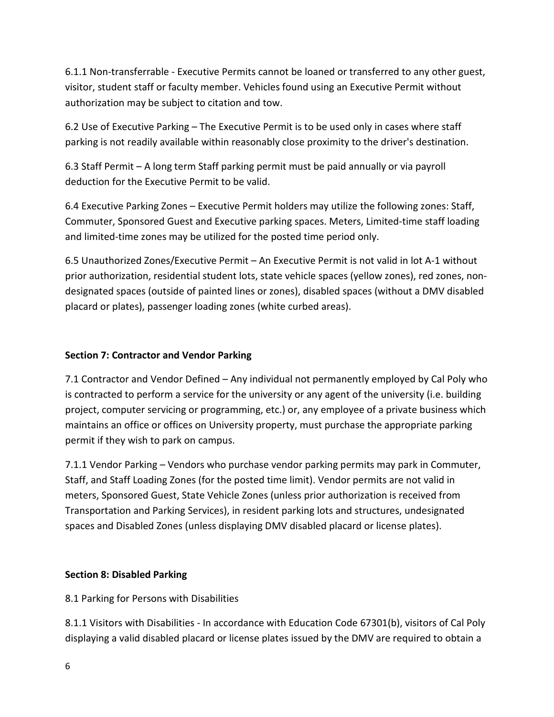6.1.1 Non-transferrable - Executive Permits cannot be loaned or transferred to any other guest, visitor, student staff or faculty member. Vehicles found using an Executive Permit without authorization may be subject to citation and tow.

6.2 Use of Executive Parking – The Executive Permit is to be used only in cases where staff parking is not readily available within reasonably close proximity to the driver's destination.

6.3 Staff Permit – A long term Staff parking permit must be paid annually or via payroll deduction for the Executive Permit to be valid.

6.4 Executive Parking Zones – Executive Permit holders may utilize the following zones: Staff, Commuter, Sponsored Guest and Executive parking spaces. Meters, Limited-time staff loading and limited-time zones may be utilized for the posted time period only.

6.5 Unauthorized Zones/Executive Permit – An Executive Permit is not valid in lot A-1 without prior authorization, residential student lots, state vehicle spaces (yellow zones), red zones, nondesignated spaces (outside of painted lines or zones), disabled spaces (without a DMV disabled placard or plates), passenger loading zones (white curbed areas).

#### **Section 7: Contractor and Vendor Parking**

7.1 Contractor and Vendor Defined – Any individual not permanently employed by Cal Poly who is contracted to perform a service for the university or any agent of the university (i.e. building project, computer servicing or programming, etc.) or, any employee of a private business which maintains an office or offices on University property, must purchase the appropriate parking permit if they wish to park on campus.

7.1.1 Vendor Parking – Vendors who purchase vendor parking permits may park in Commuter, Staff, and Staff Loading Zones (for the posted time limit). Vendor permits are not valid in meters, Sponsored Guest, State Vehicle Zones (unless prior authorization is received from Transportation and Parking Services), in resident parking lots and structures, undesignated spaces and Disabled Zones (unless displaying DMV disabled placard or license plates).

#### **Section 8: Disabled Parking**

8.1 Parking for Persons with Disabilities

8.1.1 Visitors with Disabilities - In accordance with Education Code 67301(b), visitors of Cal Poly displaying a valid disabled placard or license plates issued by the DMV are required to obtain a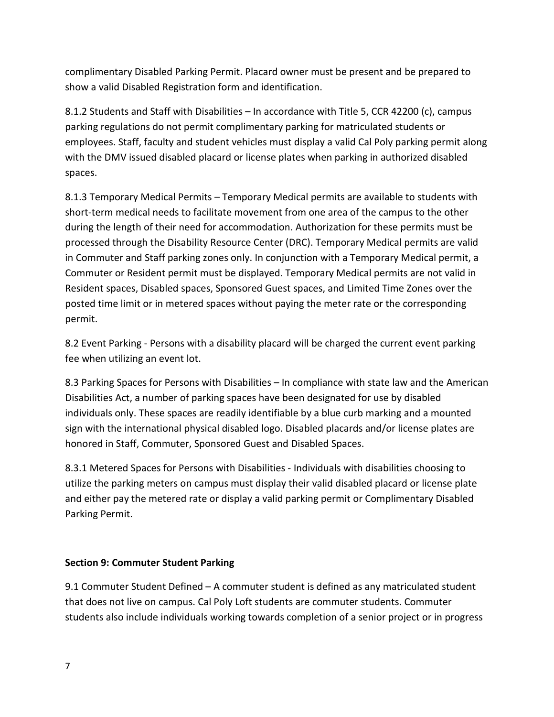complimentary Disabled Parking Permit. Placard owner must be present and be prepared to show a valid Disabled Registration form and identification.

8.1.2 Students and Staff with Disabilities – In accordance with Title 5, CCR 42200 (c), campus parking regulations do not permit complimentary parking for matriculated students or employees. Staff, faculty and student vehicles must display a valid Cal Poly parking permit along with the DMV issued disabled placard or license plates when parking in authorized disabled spaces.

8.1.3 Temporary Medical Permits – Temporary Medical permits are available to students with short-term medical needs to facilitate movement from one area of the campus to the other during the length of their need for accommodation. Authorization for these permits must be processed through the Disability Resource Center (DRC). Temporary Medical permits are valid in Commuter and Staff parking zones only. In conjunction with a Temporary Medical permit, a Commuter or Resident permit must be displayed. Temporary Medical permits are not valid in Resident spaces, Disabled spaces, Sponsored Guest spaces, and Limited Time Zones over the posted time limit or in metered spaces without paying the meter rate or the corresponding permit.

8.2 Event Parking - Persons with a disability placard will be charged the current event parking fee when utilizing an event lot.

8.3 Parking Spaces for Persons with Disabilities – In compliance with state law and the American Disabilities Act, a number of parking spaces have been designated for use by disabled individuals only. These spaces are readily identifiable by a blue curb marking and a mounted sign with the international physical disabled logo. Disabled placards and/or license plates are honored in Staff, Commuter, Sponsored Guest and Disabled Spaces.

8.3.1 Metered Spaces for Persons with Disabilities - Individuals with disabilities choosing to utilize the parking meters on campus must display their valid disabled placard or license plate and either pay the metered rate or display a valid parking permit or Complimentary Disabled Parking Permit.

#### **Section 9: Commuter Student Parking**

9.1 Commuter Student Defined – A commuter student is defined as any matriculated student that does not live on campus. Cal Poly Loft students are commuter students. Commuter students also include individuals working towards completion of a senior project or in progress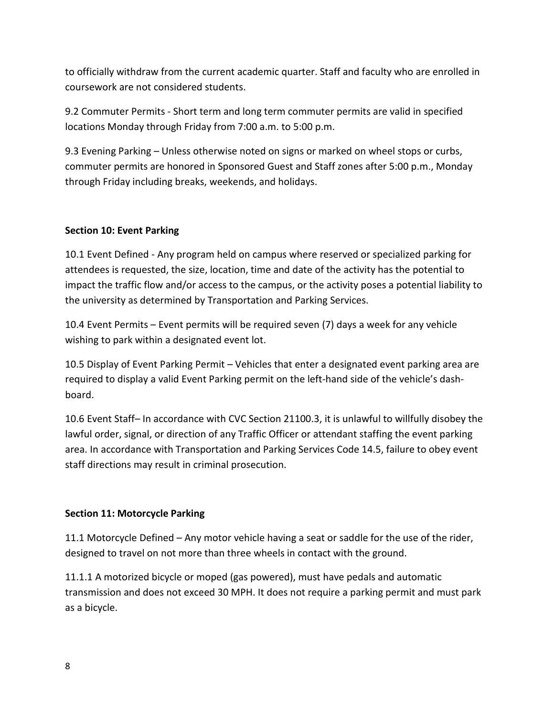to officially withdraw from the current academic quarter. Staff and faculty who are enrolled in coursework are not considered students.

9.2 Commuter Permits - Short term and long term commuter permits are valid in specified locations Monday through Friday from 7:00 a.m. to 5:00 p.m.

9.3 Evening Parking – Unless otherwise noted on signs or marked on wheel stops or curbs, commuter permits are honored in Sponsored Guest and Staff zones after 5:00 p.m., Monday through Friday including breaks, weekends, and holidays.

#### **Section 10: Event Parking**

10.1 Event Defined - Any program held on campus where reserved or specialized parking for attendees is requested, the size, location, time and date of the activity has the potential to impact the traffic flow and/or access to the campus, or the activity poses a potential liability to the university as determined by Transportation and Parking Services.

10.4 Event Permits – Event permits will be required seven (7) days a week for any vehicle wishing to park within a designated event lot.

10.5 Display of Event Parking Permit – Vehicles that enter a designated event parking area are required to display a valid Event Parking permit on the left-hand side of the vehicle's dashboard.

10.6 Event Staff– In accordance with CVC Section 21100.3, it is unlawful to willfully disobey the lawful order, signal, or direction of any Traffic Officer or attendant staffing the event parking area. In accordance with Transportation and Parking Services Code 14.5, failure to obey event staff directions may result in criminal prosecution.

# **Section 11: Motorcycle Parking**

11.1 Motorcycle Defined – Any motor vehicle having a seat or saddle for the use of the rider, designed to travel on not more than three wheels in contact with the ground.

11.1.1 A motorized bicycle or moped (gas powered), must have pedals and automatic transmission and does not exceed 30 MPH. It does not require a parking permit and must park as a bicycle.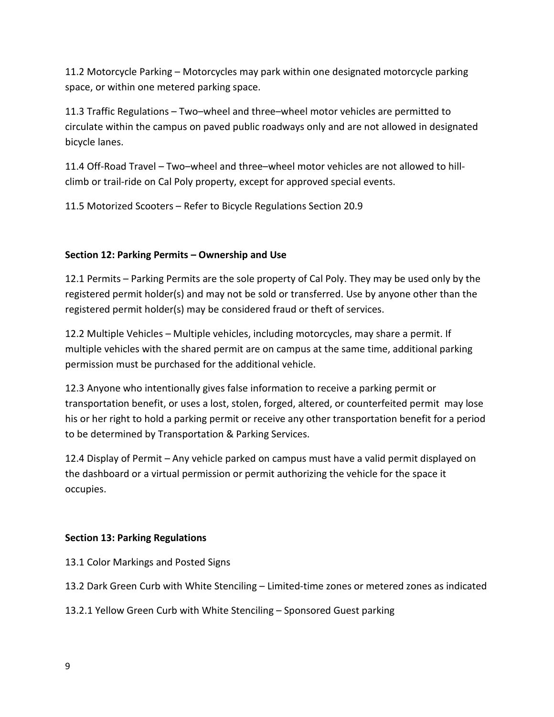11.2 Motorcycle Parking – Motorcycles may park within one designated motorcycle parking space, or within one metered parking space.

11.3 Traffic Regulations – Two–wheel and three–wheel motor vehicles are permitted to circulate within the campus on paved public roadways only and are not allowed in designated bicycle lanes.

11.4 Off-Road Travel – Two–wheel and three–wheel motor vehicles are not allowed to hillclimb or trail-ride on Cal Poly property, except for approved special events.

11.5 Motorized Scooters – Refer to Bicycle Regulations Section 20.9

## **Section 12: Parking Permits – Ownership and Use**

12.1 Permits – Parking Permits are the sole property of Cal Poly. They may be used only by the registered permit holder(s) and may not be sold or transferred. Use by anyone other than the registered permit holder(s) may be considered fraud or theft of services.

12.2 Multiple Vehicles – Multiple vehicles, including motorcycles, may share a permit. If multiple vehicles with the shared permit are on campus at the same time, additional parking permission must be purchased for the additional vehicle.

12.3 Anyone who intentionally gives false information to receive a parking permit or transportation benefit, or uses a lost, stolen, forged, altered, or counterfeited permit may lose his or her right to hold a parking permit or receive any other transportation benefit for a period to be determined by Transportation & Parking Services.

12.4 Display of Permit – Any vehicle parked on campus must have a valid permit displayed on the dashboard or a virtual permission or permit authorizing the vehicle for the space it occupies.

#### **Section 13: Parking Regulations**

13.1 Color Markings and Posted Signs

13.2 Dark Green Curb with White Stenciling – Limited-time zones or metered zones as indicated

13.2.1 Yellow Green Curb with White Stenciling – Sponsored Guest parking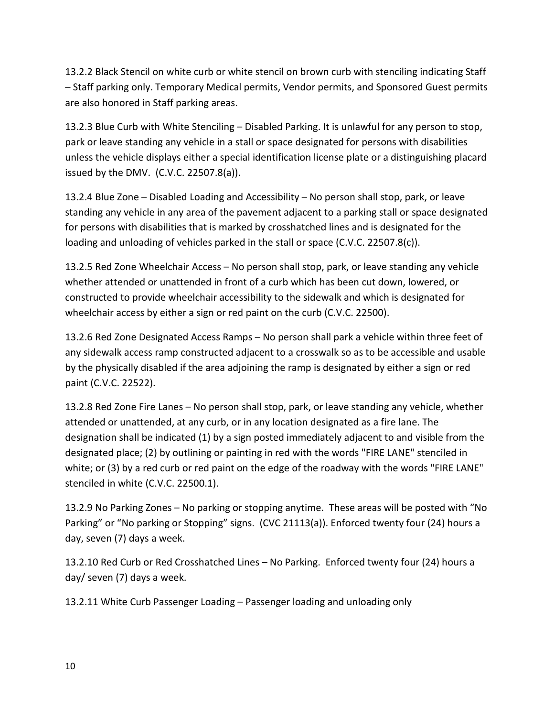13.2.2 Black Stencil on white curb or white stencil on brown curb with stenciling indicating Staff – Staff parking only. Temporary Medical permits, Vendor permits, and Sponsored Guest permits are also honored in Staff parking areas.

13.2.3 Blue Curb with White Stenciling – Disabled Parking. It is unlawful for any person to stop, park or leave standing any vehicle in a stall or space designated for persons with disabilities unless the vehicle displays either a special identification license plate or a distinguishing placard issued by the DMV. (C.V.C. 22507.8(a)).

13.2.4 Blue Zone – Disabled Loading and Accessibility – No person shall stop, park, or leave standing any vehicle in any area of the pavement adjacent to a parking stall or space designated for persons with disabilities that is marked by crosshatched lines and is designated for the loading and unloading of vehicles parked in the stall or space (C.V.C. 22507.8(c)).

13.2.5 Red Zone Wheelchair Access – No person shall stop, park, or leave standing any vehicle whether attended or unattended in front of a curb which has been cut down, lowered, or constructed to provide wheelchair accessibility to the sidewalk and which is designated for wheelchair access by either a sign or red paint on the curb (C.V.C. 22500).

13.2.6 Red Zone Designated Access Ramps – No person shall park a vehicle within three feet of any sidewalk access ramp constructed adjacent to a crosswalk so as to be accessible and usable by the physically disabled if the area adjoining the ramp is designated by either a sign or red paint (C.V.C. 22522).

13.2.8 Red Zone Fire Lanes – No person shall stop, park, or leave standing any vehicle, whether attended or unattended, at any curb, or in any location designated as a fire lane. The designation shall be indicated (1) by a sign posted immediately adjacent to and visible from the designated place; (2) by outlining or painting in red with the words "FIRE LANE" stenciled in white; or (3) by a red curb or red paint on the edge of the roadway with the words "FIRE LANE" stenciled in white (C.V.C. 22500.1).

13.2.9 No Parking Zones – No parking or stopping anytime. These areas will be posted with "No Parking" or "No parking or Stopping" signs. (CVC 21113(a)). Enforced twenty four (24) hours a day, seven (7) days a week.

13.2.10 Red Curb or Red Crosshatched Lines – No Parking. Enforced twenty four (24) hours a day/ seven (7) days a week.

13.2.11 White Curb Passenger Loading – Passenger loading and unloading only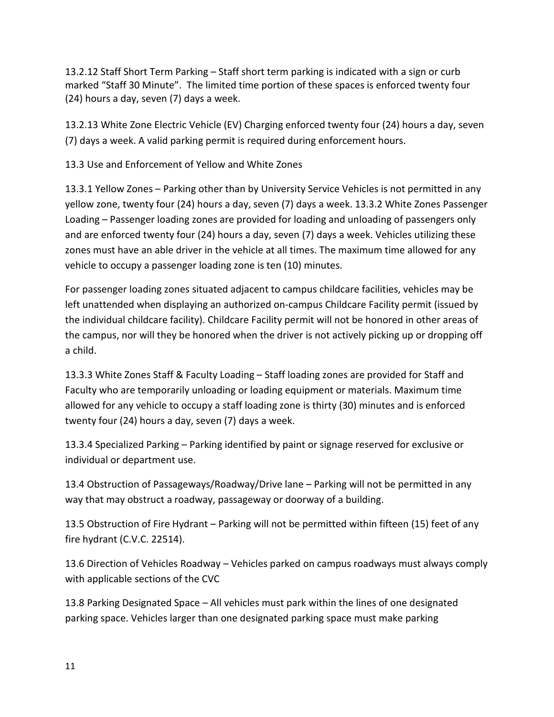13.2.12 Staff Short Term Parking – Staff short term parking is indicated with a sign or curb marked "Staff 30 Minute". The limited time portion of these spaces is enforced twenty four (24) hours a day, seven (7) days a week.

13.2.13 White Zone Electric Vehicle (EV) Charging enforced twenty four (24) hours a day, seven (7) days a week. A valid parking permit is required during enforcement hours.

13.3 Use and Enforcement of Yellow and White Zones

13.3.1 Yellow Zones – Parking other than by University Service Vehicles is not permitted in any yellow zone, twenty four (24) hours a day, seven (7) days a week. 13.3.2 White Zones Passenger Loading – Passenger loading zones are provided for loading and unloading of passengers only and are enforced twenty four (24) hours a day, seven (7) days a week. Vehicles utilizing these zones must have an able driver in the vehicle at all times. The maximum time allowed for any vehicle to occupy a passenger loading zone is ten (10) minutes.

For passenger loading zones situated adjacent to campus childcare facilities, vehicles may be left unattended when displaying an authorized on-campus Childcare Facility permit (issued by the individual childcare facility). Childcare Facility permit will not be honored in other areas of the campus, nor will they be honored when the driver is not actively picking up or dropping off a child.

13.3.3 White Zones Staff & Faculty Loading – Staff loading zones are provided for Staff and Faculty who are temporarily unloading or loading equipment or materials. Maximum time allowed for any vehicle to occupy a staff loading zone is thirty (30) minutes and is enforced twenty four (24) hours a day, seven (7) days a week.

13.3.4 Specialized Parking – Parking identified by paint or signage reserved for exclusive or individual or department use.

13.4 Obstruction of Passageways/Roadway/Drive lane – Parking will not be permitted in any way that may obstruct a roadway, passageway or doorway of a building.

13.5 Obstruction of Fire Hydrant – Parking will not be permitted within fifteen (15) feet of any fire hydrant (C.V.C. 22514).

13.6 Direction of Vehicles Roadway – Vehicles parked on campus roadways must always comply with applicable sections of the CVC

13.8 Parking Designated Space – All vehicles must park within the lines of one designated parking space. Vehicles larger than one designated parking space must make parking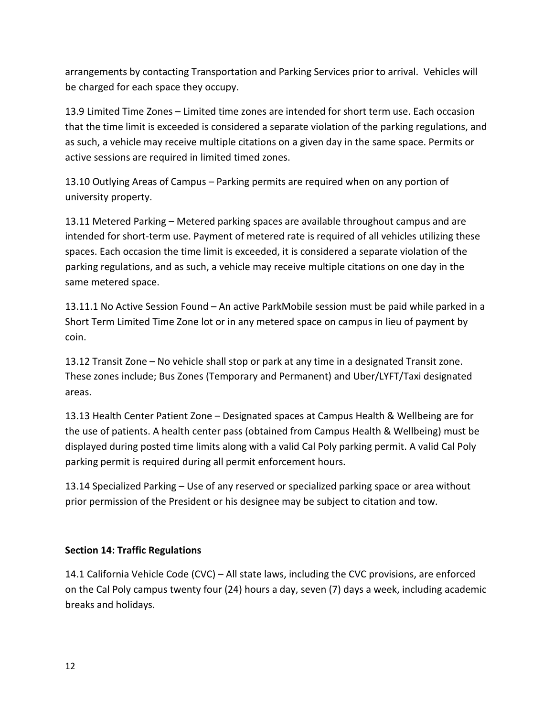arrangements by contacting Transportation and Parking Services prior to arrival. Vehicles will be charged for each space they occupy.

13.9 Limited Time Zones – Limited time zones are intended for short term use. Each occasion that the time limit is exceeded is considered a separate violation of the parking regulations, and as such, a vehicle may receive multiple citations on a given day in the same space. Permits or active sessions are required in limited timed zones.

13.10 Outlying Areas of Campus – Parking permits are required when on any portion of university property.

13.11 Metered Parking – Metered parking spaces are available throughout campus and are intended for short-term use. Payment of metered rate is required of all vehicles utilizing these spaces. Each occasion the time limit is exceeded, it is considered a separate violation of the parking regulations, and as such, a vehicle may receive multiple citations on one day in the same metered space.

13.11.1 No Active Session Found – An active ParkMobile session must be paid while parked in a Short Term Limited Time Zone lot or in any metered space on campus in lieu of payment by coin.

13.12 Transit Zone – No vehicle shall stop or park at any time in a designated Transit zone. These zones include; Bus Zones (Temporary and Permanent) and Uber/LYFT/Taxi designated areas.

13.13 Health Center Patient Zone – Designated spaces at Campus Health & Wellbeing are for the use of patients. A health center pass (obtained from Campus Health & Wellbeing) must be displayed during posted time limits along with a valid Cal Poly parking permit. A valid Cal Poly parking permit is required during all permit enforcement hours.

13.14 Specialized Parking – Use of any reserved or specialized parking space or area without prior permission of the President or his designee may be subject to citation and tow.

#### **Section 14: Traffic Regulations**

14.1 California Vehicle Code (CVC) – All state laws, including the CVC provisions, are enforced on the Cal Poly campus twenty four (24) hours a day, seven (7) days a week, including academic breaks and holidays.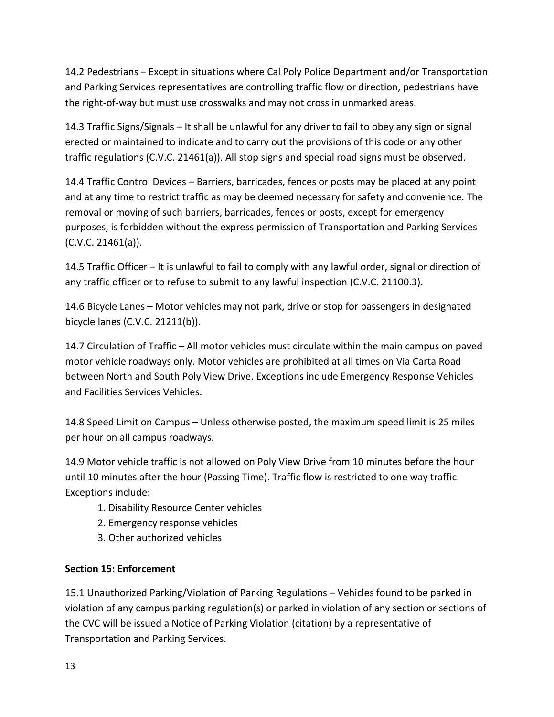14.2 Pedestrians – Except in situations where Cal Poly Police Department and/or Transportation and Parking Services representatives are controlling traffic flow or direction, pedestrians have the right-of-way but must use crosswalks and may not cross in unmarked areas.

14.3 Traffic Signs/Signals – It shall be unlawful for any driver to fail to obey any sign or signal erected or maintained to indicate and to carry out the provisions of this code or any other traffic regulations (C.V.C. 21461(a)). All stop signs and special road signs must be observed.

14.4 Traffic Control Devices – Barriers, barricades, fences or posts may be placed at any point and at any time to restrict traffic as may be deemed necessary for safety and convenience. The removal or moving of such barriers, barricades, fences or posts, except for emergency purposes, is forbidden without the express permission of Transportation and Parking Services (C.V.C. 21461(a)).

14.5 Traffic Officer – It is unlawful to fail to comply with any lawful order, signal or direction of any traffic officer or to refuse to submit to any lawful inspection (C.V.C. 21100.3).

14.6 Bicycle Lanes – Motor vehicles may not park, drive or stop for passengers in designated bicycle lanes (C.V.C. 21211(b)).

14.7 Circulation of Traffic – All motor vehicles must circulate within the main campus on paved motor vehicle roadways only. Motor vehicles are prohibited at all times on Via Carta Road between North and South Poly View Drive. Exceptions include Emergency Response Vehicles and Facilities Services Vehicles.

14.8 Speed Limit on Campus – Unless otherwise posted, the maximum speed limit is 25 miles per hour on all campus roadways.

14.9 Motor vehicle traffic is not allowed on Poly View Drive from 10 minutes before the hour until 10 minutes after the hour (Passing Time). Traffic flow is restricted to one way traffic. Exceptions include:

- 1. Disability Resource Center vehicles
- 2. Emergency response vehicles
- 3. Other authorized vehicles

#### **Section 15: Enforcement**

15.1 Unauthorized Parking/Violation of Parking Regulations – Vehicles found to be parked in violation of any campus parking regulation(s) or parked in violation of any section or sections of the CVC will be issued a Notice of Parking Violation (citation) by a representative of Transportation and Parking Services.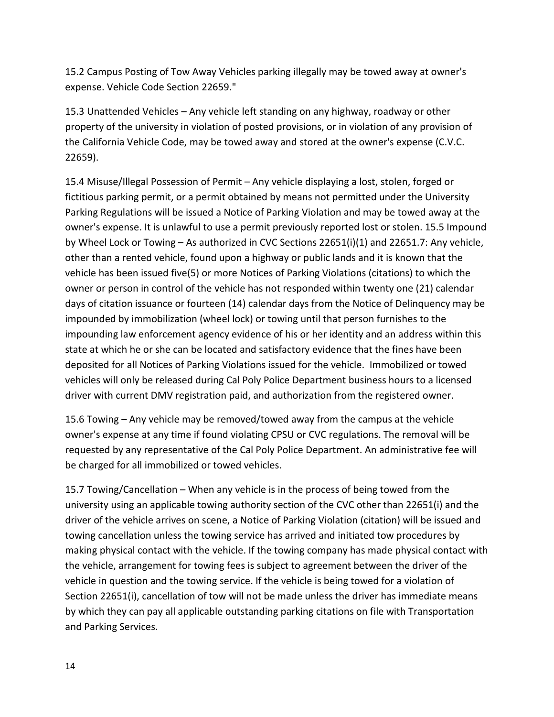15.2 Campus Posting of Tow Away Vehicles parking illegally may be towed away at owner's expense. Vehicle Code Section 22659."

15.3 Unattended Vehicles – Any vehicle left standing on any highway, roadway or other property of the university in violation of posted provisions, or in violation of any provision of the California Vehicle Code, may be towed away and stored at the owner's expense (C.V.C. 22659).

15.4 Misuse/Illegal Possession of Permit – Any vehicle displaying a lost, stolen, forged or fictitious parking permit, or a permit obtained by means not permitted under the University Parking Regulations will be issued a Notice of Parking Violation and may be towed away at the owner's expense. It is unlawful to use a permit previously reported lost or stolen. 15.5 Impound by Wheel Lock or Towing – As authorized in CVC Sections 22651(i)(1) and 22651.7: Any vehicle, other than a rented vehicle, found upon a highway or public lands and it is known that the vehicle has been issued five(5) or more Notices of Parking Violations (citations) to which the owner or person in control of the vehicle has not responded within twenty one (21) calendar days of citation issuance or fourteen (14) calendar days from the Notice of Delinquency may be impounded by immobilization (wheel lock) or towing until that person furnishes to the impounding law enforcement agency evidence of his or her identity and an address within this state at which he or she can be located and satisfactory evidence that the fines have been deposited for all Notices of Parking Violations issued for the vehicle. Immobilized or towed vehicles will only be released during Cal Poly Police Department business hours to a licensed driver with current DMV registration paid, and authorization from the registered owner.

15.6 Towing – Any vehicle may be removed/towed away from the campus at the vehicle owner's expense at any time if found violating CPSU or CVC regulations. The removal will be requested by any representative of the Cal Poly Police Department. An administrative fee will be charged for all immobilized or towed vehicles.

15.7 Towing/Cancellation – When any vehicle is in the process of being towed from the university using an applicable towing authority section of the CVC other than 22651(i) and the driver of the vehicle arrives on scene, a Notice of Parking Violation (citation) will be issued and towing cancellation unless the towing service has arrived and initiated tow procedures by making physical contact with the vehicle. If the towing company has made physical contact with the vehicle, arrangement for towing fees is subject to agreement between the driver of the vehicle in question and the towing service. If the vehicle is being towed for a violation of Section 22651(i), cancellation of tow will not be made unless the driver has immediate means by which they can pay all applicable outstanding parking citations on file with Transportation and Parking Services.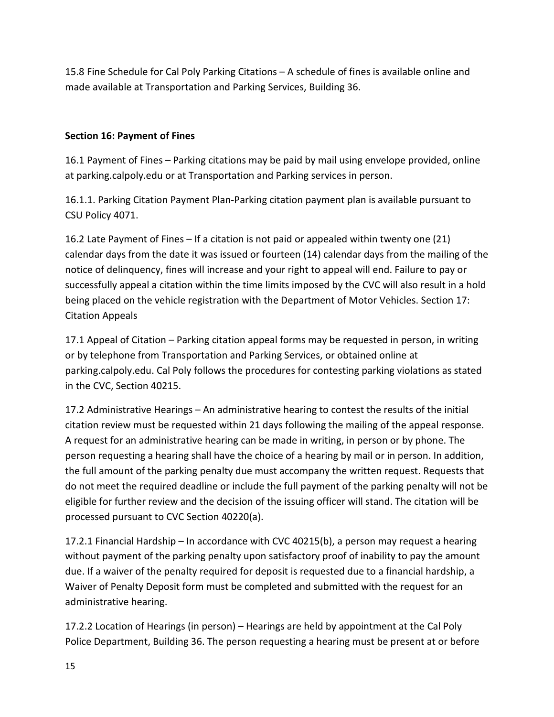15.8 Fine Schedule for Cal Poly Parking Citations – A schedule of fines is available online and made available at Transportation and Parking Services, Building 36.

### **Section 16: Payment of Fines**

16.1 Payment of Fines – Parking citations may be paid by mail using envelope provided, online at parking.calpoly.edu or at Transportation and Parking services in person.

16.1.1. Parking Citation Payment Plan-Parking citation payment plan is available pursuant to CSU Policy 4071.

16.2 Late Payment of Fines – If a citation is not paid or appealed within twenty one (21) calendar days from the date it was issued or fourteen (14) calendar days from the mailing of the notice of delinquency, fines will increase and your right to appeal will end. Failure to pay or successfully appeal a citation within the time limits imposed by the CVC will also result in a hold being placed on the vehicle registration with the Department of Motor Vehicles. Section 17: Citation Appeals

17.1 Appeal of Citation – Parking citation appeal forms may be requested in person, in writing or by telephone from Transportation and Parking Services, or obtained online at parking.calpoly.edu. Cal Poly follows the procedures for contesting parking violations as stated in the CVC, Section 40215.

17.2 Administrative Hearings – An administrative hearing to contest the results of the initial citation review must be requested within 21 days following the mailing of the appeal response. A request for an administrative hearing can be made in writing, in person or by phone. The person requesting a hearing shall have the choice of a hearing by mail or in person. In addition, the full amount of the parking penalty due must accompany the written request. Requests that do not meet the required deadline or include the full payment of the parking penalty will not be eligible for further review and the decision of the issuing officer will stand. The citation will be processed pursuant to CVC Section 40220(a).

17.2.1 Financial Hardship – In accordance with CVC 40215(b), a person may request a hearing without payment of the parking penalty upon satisfactory proof of inability to pay the amount due. If a waiver of the penalty required for deposit is requested due to a financial hardship, a Waiver of Penalty Deposit form must be completed and submitted with the request for an administrative hearing.

17.2.2 Location of Hearings (in person) – Hearings are held by appointment at the Cal Poly Police Department, Building 36. The person requesting a hearing must be present at or before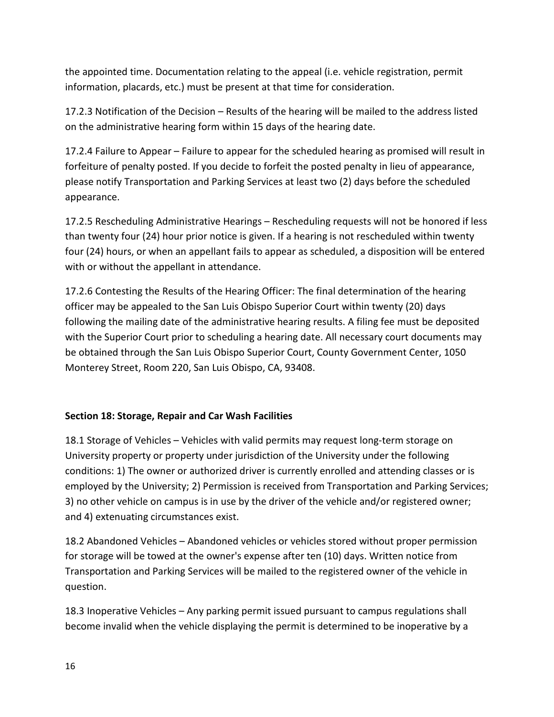the appointed time. Documentation relating to the appeal (i.e. vehicle registration, permit information, placards, etc.) must be present at that time for consideration.

17.2.3 Notification of the Decision – Results of the hearing will be mailed to the address listed on the administrative hearing form within 15 days of the hearing date.

17.2.4 Failure to Appear – Failure to appear for the scheduled hearing as promised will result in forfeiture of penalty posted. If you decide to forfeit the posted penalty in lieu of appearance, please notify Transportation and Parking Services at least two (2) days before the scheduled appearance.

17.2.5 Rescheduling Administrative Hearings – Rescheduling requests will not be honored if less than twenty four (24) hour prior notice is given. If a hearing is not rescheduled within twenty four (24) hours, or when an appellant fails to appear as scheduled, a disposition will be entered with or without the appellant in attendance.

17.2.6 Contesting the Results of the Hearing Officer: The final determination of the hearing officer may be appealed to the San Luis Obispo Superior Court within twenty (20) days following the mailing date of the administrative hearing results. A filing fee must be deposited with the Superior Court prior to scheduling a hearing date. All necessary court documents may be obtained through the San Luis Obispo Superior Court, County Government Center, 1050 Monterey Street, Room 220, San Luis Obispo, CA, 93408.

#### **Section 18: Storage, Repair and Car Wash Facilities**

18.1 Storage of Vehicles – Vehicles with valid permits may request long-term storage on University property or property under jurisdiction of the University under the following conditions: 1) The owner or authorized driver is currently enrolled and attending classes or is employed by the University; 2) Permission is received from Transportation and Parking Services; 3) no other vehicle on campus is in use by the driver of the vehicle and/or registered owner; and 4) extenuating circumstances exist.

18.2 Abandoned Vehicles – Abandoned vehicles or vehicles stored without proper permission for storage will be towed at the owner's expense after ten (10) days. Written notice from Transportation and Parking Services will be mailed to the registered owner of the vehicle in question.

18.3 Inoperative Vehicles – Any parking permit issued pursuant to campus regulations shall become invalid when the vehicle displaying the permit is determined to be inoperative by a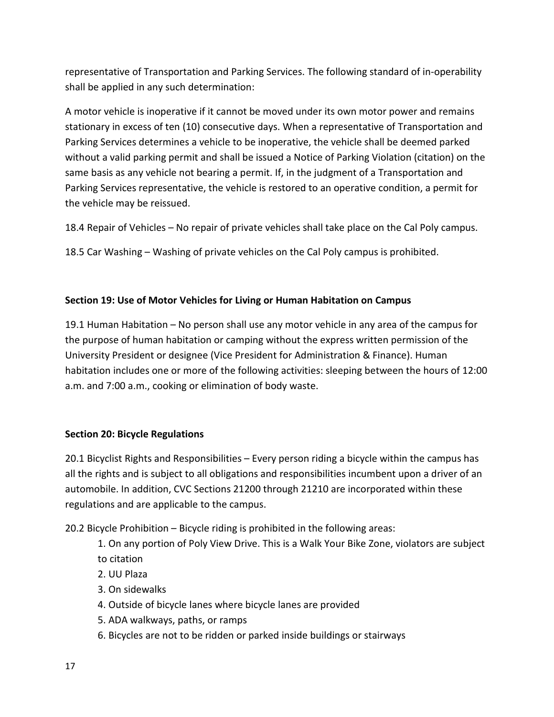representative of Transportation and Parking Services. The following standard of in-operability shall be applied in any such determination:

A motor vehicle is inoperative if it cannot be moved under its own motor power and remains stationary in excess of ten (10) consecutive days. When a representative of Transportation and Parking Services determines a vehicle to be inoperative, the vehicle shall be deemed parked without a valid parking permit and shall be issued a Notice of Parking Violation (citation) on the same basis as any vehicle not bearing a permit. If, in the judgment of a Transportation and Parking Services representative, the vehicle is restored to an operative condition, a permit for the vehicle may be reissued.

18.4 Repair of Vehicles – No repair of private vehicles shall take place on the Cal Poly campus.

18.5 Car Washing – Washing of private vehicles on the Cal Poly campus is prohibited.

## **Section 19: Use of Motor Vehicles for Living or Human Habitation on Campus**

19.1 Human Habitation – No person shall use any motor vehicle in any area of the campus for the purpose of human habitation or camping without the express written permission of the University President or designee (Vice President for Administration & Finance). Human habitation includes one or more of the following activities: sleeping between the hours of 12:00 a.m. and 7:00 a.m., cooking or elimination of body waste.

#### **Section 20: Bicycle Regulations**

20.1 Bicyclist Rights and Responsibilities – Every person riding a bicycle within the campus has all the rights and is subject to all obligations and responsibilities incumbent upon a driver of an automobile. In addition, CVC Sections 21200 through 21210 are incorporated within these regulations and are applicable to the campus.

20.2 Bicycle Prohibition – Bicycle riding is prohibited in the following areas:

- 1. On any portion of Poly View Drive. This is a Walk Your Bike Zone, violators are subject to citation
- 2. UU Plaza
- 3. On sidewalks
- 4. Outside of bicycle lanes where bicycle lanes are provided
- 5. ADA walkways, paths, or ramps
- 6. Bicycles are not to be ridden or parked inside buildings or stairways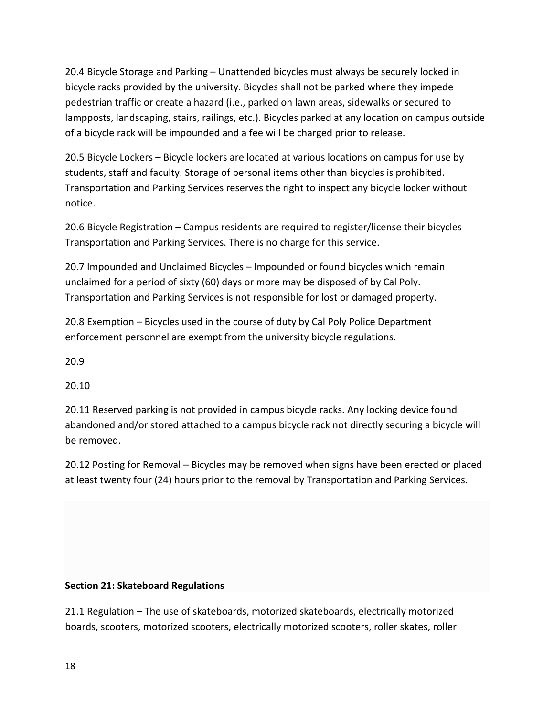20.4 Bicycle Storage and Parking – Unattended bicycles must always be securely locked in bicycle racks provided by the university. Bicycles shall not be parked where they impede pedestrian traffic or create a hazard (i.e., parked on lawn areas, sidewalks or secured to lampposts, landscaping, stairs, railings, etc.). Bicycles parked at any location on campus outside of a bicycle rack will be impounded and a fee will be charged prior to release.

20.5 Bicycle Lockers – Bicycle lockers are located at various locations on campus for use by students, staff and faculty. Storage of personal items other than bicycles is prohibited. Transportation and Parking Services reserves the right to inspect any bicycle locker without notice.

20.6 Bicycle Registration – Campus residents are required to register/license their bicycles Transportation and Parking Services. There is no charge for this service.

20.7 Impounded and Unclaimed Bicycles – Impounded or found bicycles which remain unclaimed for a period of sixty (60) days or more may be disposed of by Cal Poly. Transportation and Parking Services is not responsible for lost or damaged property.

20.8 Exemption – Bicycles used in the course of duty by Cal Poly Police Department enforcement personnel are exempt from the university bicycle regulations.

20.9

20.10

20.11 Reserved parking is not provided in campus bicycle racks. Any locking device found abandoned and/or stored attached to a campus bicycle rack not directly securing a bicycle will be removed.

20.12 Posting for Removal – Bicycles may be removed when signs have been erected or placed at least twenty four (24) hours prior to the removal by Transportation and Parking Services.

#### **Section 21: Skateboard Regulations**

21.1 Regulation – The use of skateboards, motorized skateboards, electrically motorized boards, scooters, motorized scooters, electrically motorized scooters, roller skates, roller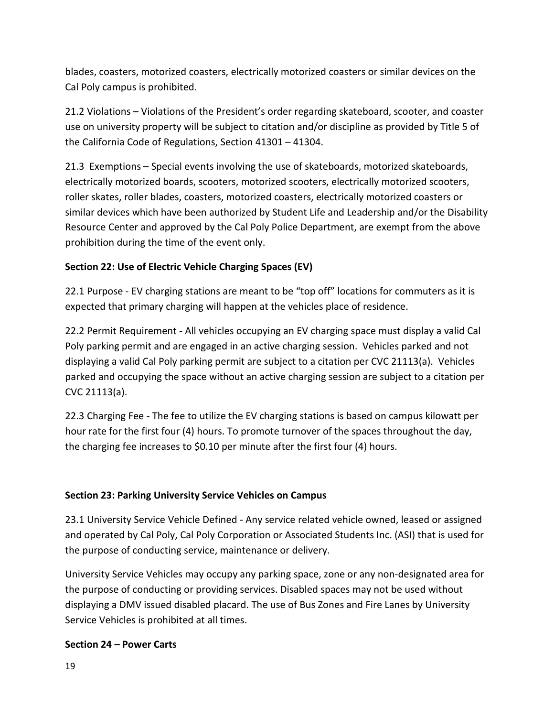blades, coasters, motorized coasters, electrically motorized coasters or similar devices on the Cal Poly campus is prohibited.

21.2 Violations – Violations of the President's order regarding skateboard, scooter, and coaster use on university property will be subject to citation and/or discipline as provided by Title 5 of the California Code of Regulations, Section 41301 – 41304.

21.3 Exemptions – Special events involving the use of skateboards, motorized skateboards, electrically motorized boards, scooters, motorized scooters, electrically motorized scooters, roller skates, roller blades, coasters, motorized coasters, electrically motorized coasters or similar devices which have been authorized by Student Life and Leadership and/or the Disability Resource Center and approved by the Cal Poly Police Department, are exempt from the above prohibition during the time of the event only.

# **Section 22: Use of Electric Vehicle Charging Spaces (EV)**

22.1 Purpose - EV charging stations are meant to be "top off" locations for commuters as it is expected that primary charging will happen at the vehicles place of residence.

22.2 Permit Requirement - All vehicles occupying an EV charging space must display a valid Cal Poly parking permit and are engaged in an active charging session. Vehicles parked and not displaying a valid Cal Poly parking permit are subject to a citation per CVC 21113(a). Vehicles parked and occupying the space without an active charging session are subject to a citation per CVC 21113(a).

22.3 Charging Fee - The fee to utilize the EV charging stations is based on campus kilowatt per hour rate for the first four (4) hours. To promote turnover of the spaces throughout the day, the charging fee increases to \$0.10 per minute after the first four (4) hours.

# **Section 23: Parking University Service Vehicles on Campus**

23.1 University Service Vehicle Defined - Any service related vehicle owned, leased or assigned and operated by Cal Poly, Cal Poly Corporation or Associated Students Inc. (ASI) that is used for the purpose of conducting service, maintenance or delivery.

University Service Vehicles may occupy any parking space, zone or any non-designated area for the purpose of conducting or providing services. Disabled spaces may not be used without displaying a DMV issued disabled placard. The use of Bus Zones and Fire Lanes by University Service Vehicles is prohibited at all times.

# **Section 24 – Power Carts**